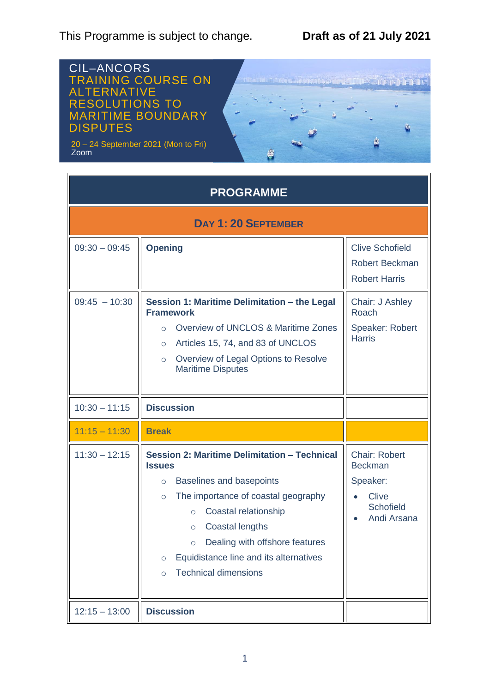This Programme is subject to change. **Draft as of 21 July 2021**



| <b>PROGRAMME</b>           |                                                                                                                                                                                                                                                                                                                                                                     |                                                                                                       |  |  |
|----------------------------|---------------------------------------------------------------------------------------------------------------------------------------------------------------------------------------------------------------------------------------------------------------------------------------------------------------------------------------------------------------------|-------------------------------------------------------------------------------------------------------|--|--|
| <b>DAY 1: 20 SEPTEMBER</b> |                                                                                                                                                                                                                                                                                                                                                                     |                                                                                                       |  |  |
| $09:30 - 09:45$            | <b>Opening</b>                                                                                                                                                                                                                                                                                                                                                      | <b>Clive Schofield</b><br><b>Robert Beckman</b><br><b>Robert Harris</b>                               |  |  |
| $09:45 - 10:30$            | Session 1: Maritime Delimitation - the Legal<br><b>Framework</b><br>Overview of UNCLOS & Maritime Zones<br>$\circ$<br>Articles 15, 74, and 83 of UNCLOS<br>$\circ$<br>Overview of Legal Options to Resolve<br>$\circ$<br><b>Maritime Disputes</b>                                                                                                                   | Chair: J Ashley<br>Roach<br>Speaker: Robert<br><b>Harris</b>                                          |  |  |
| $10:30 - 11:15$            | <b>Discussion</b>                                                                                                                                                                                                                                                                                                                                                   |                                                                                                       |  |  |
| $11:15 - 11:30$            | <b>Break</b>                                                                                                                                                                                                                                                                                                                                                        |                                                                                                       |  |  |
| $11:30 - 12:15$            | Session 2: Maritime Delimitation - Technical<br><b>Issues</b><br>Baselines and basepoints<br>$\circ$<br>The importance of coastal geography<br>$\circ$<br>Coastal relationship<br>$\circ$<br>Coastal lengths<br>$\circ$<br>Dealing with offshore features<br>$\circ$<br>Equidistance line and its alternatives<br>$\circ$<br><b>Technical dimensions</b><br>$\circ$ | <b>Chair: Robert</b><br><b>Beckman</b><br>Speaker:<br><b>Clive</b><br><b>Schofield</b><br>Andi Arsana |  |  |
| $12:15 - 13:00$            | <b>Discussion</b>                                                                                                                                                                                                                                                                                                                                                   |                                                                                                       |  |  |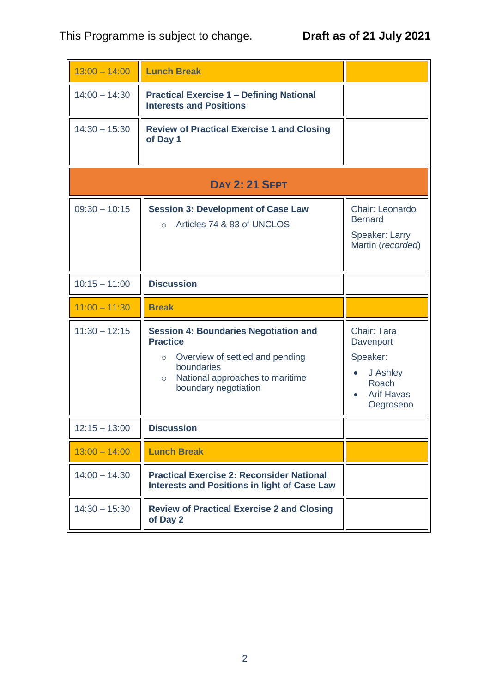| $13:00 - 14:00$       | <b>Lunch Break</b>                                                                                                                                                                                |                                                                                                          |  |
|-----------------------|---------------------------------------------------------------------------------------------------------------------------------------------------------------------------------------------------|----------------------------------------------------------------------------------------------------------|--|
| $14:00 - 14:30$       | <b>Practical Exercise 1 - Defining National</b><br><b>Interests and Positions</b>                                                                                                                 |                                                                                                          |  |
| $14:30 - 15:30$       | <b>Review of Practical Exercise 1 and Closing</b><br>of Day 1                                                                                                                                     |                                                                                                          |  |
| <b>DAY 2: 21 SEPT</b> |                                                                                                                                                                                                   |                                                                                                          |  |
| $09:30 - 10:15$       | <b>Session 3: Development of Case Law</b><br>Articles 74 & 83 of UNCLOS<br>$\circ$                                                                                                                | Chair: Leonardo<br><b>Bernard</b><br>Speaker: Larry<br>Martin (recorded)                                 |  |
| $10:15 - 11:00$       | <b>Discussion</b>                                                                                                                                                                                 |                                                                                                          |  |
|                       |                                                                                                                                                                                                   |                                                                                                          |  |
| $11:00 - 11:30$       | <b>Break</b>                                                                                                                                                                                      |                                                                                                          |  |
| $11:30 - 12:15$       | <b>Session 4: Boundaries Negotiation and</b><br><b>Practice</b><br>Overview of settled and pending<br>$\circ$<br>boundaries<br>National approaches to maritime<br>$\circ$<br>boundary negotiation | Chair: Tara<br>Davenport<br>Speaker:<br>J Ashley<br>$\bullet$<br>Roach<br><b>Arif Havas</b><br>Oegroseno |  |
| $12:15 - 13:00$       | <b>Discussion</b>                                                                                                                                                                                 |                                                                                                          |  |
| $13:00 - 14:00$       | <b>Lunch Break</b>                                                                                                                                                                                |                                                                                                          |  |
| $14:00 - 14.30$       | <b>Practical Exercise 2: Reconsider National</b><br><b>Interests and Positions in light of Case Law</b>                                                                                           |                                                                                                          |  |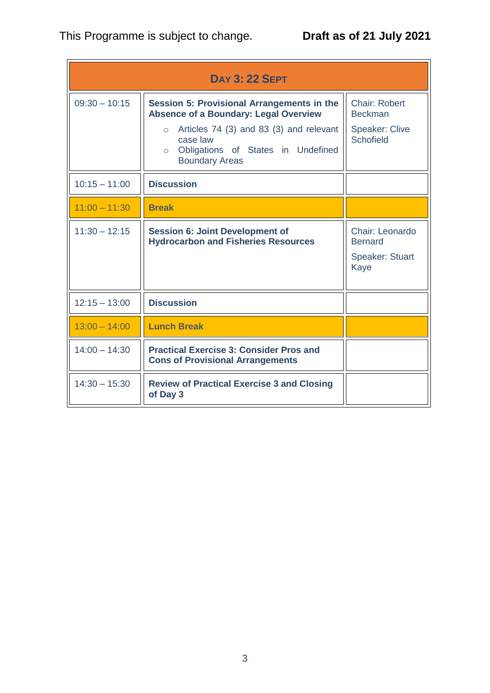| <b>DAY 3: 22 SEPT</b> |                                                                                                                                                                                                                                        |                                                                                     |  |
|-----------------------|----------------------------------------------------------------------------------------------------------------------------------------------------------------------------------------------------------------------------------------|-------------------------------------------------------------------------------------|--|
| $09:30 - 10:15$       | Session 5: Provisional Arrangements in the<br><b>Absence of a Boundary: Legal Overview</b><br>Articles 74 (3) and 83 (3) and relevant<br>$\circ$<br>case law<br>Obligations of States in Undefined<br>$\circ$<br><b>Boundary Areas</b> | <b>Chair: Robert</b><br><b>Beckman</b><br><b>Speaker: Clive</b><br><b>Schofield</b> |  |
| $10:15 - 11:00$       | <b>Discussion</b>                                                                                                                                                                                                                      |                                                                                     |  |
| $11:00 - 11:30$       | <b>Break</b>                                                                                                                                                                                                                           |                                                                                     |  |
| $11:30 - 12:15$       | <b>Session 6: Joint Development of</b><br><b>Hydrocarbon and Fisheries Resources</b>                                                                                                                                                   | Chair: Leonardo<br><b>Bernard</b><br><b>Speaker: Stuart</b><br>Kaye                 |  |
| $12:15 - 13:00$       | <b>Discussion</b>                                                                                                                                                                                                                      |                                                                                     |  |
| $13:00 - 14:00$       | <b>Lunch Break</b>                                                                                                                                                                                                                     |                                                                                     |  |
| $14:00 - 14:30$       | <b>Practical Exercise 3: Consider Pros and</b><br><b>Cons of Provisional Arrangements</b>                                                                                                                                              |                                                                                     |  |
| $14:30 - 15:30$       | <b>Review of Practical Exercise 3 and Closing</b><br>of Day 3                                                                                                                                                                          |                                                                                     |  |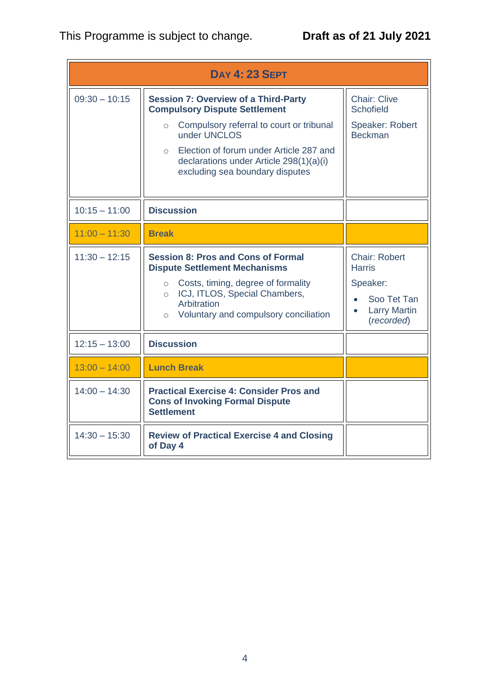## This Programme is subject to change. **Draft as of 21 July 2021**

| <b>DAY 4: 23 SEPT</b> |                                                                                                                                                                                                                                                                                                |                                                                                                                          |
|-----------------------|------------------------------------------------------------------------------------------------------------------------------------------------------------------------------------------------------------------------------------------------------------------------------------------------|--------------------------------------------------------------------------------------------------------------------------|
| $09:30 - 10:15$       | <b>Session 7: Overview of a Third-Party</b><br><b>Compulsory Dispute Settlement</b><br>Compulsory referral to court or tribunal<br>$\circ$<br>under UNCLOS<br>Election of forum under Article 287 and<br>$\circ$<br>declarations under Article 298(1)(a)(i)<br>excluding sea boundary disputes | <b>Chair: Clive</b><br><b>Schofield</b><br>Speaker: Robert<br><b>Beckman</b>                                             |
| $10:15 - 11:00$       | <b>Discussion</b>                                                                                                                                                                                                                                                                              |                                                                                                                          |
| $11:00 - 11:30$       | <b>Break</b>                                                                                                                                                                                                                                                                                   |                                                                                                                          |
| $11:30 - 12:15$       | <b>Session 8: Pros and Cons of Formal</b><br><b>Dispute Settlement Mechanisms</b><br>○ Costs, timing, degree of formality<br>o ICJ, ITLOS, Special Chambers,<br>Arbitration<br>Voluntary and compulsory conciliation<br>$\circ$                                                                | Chair: Robert<br><b>Harris</b><br>Speaker:<br>Soo Tet Tan<br>$\bullet$<br><b>Larry Martin</b><br>$\bullet$<br>(recorded) |
| $12:15 - 13:00$       | <b>Discussion</b>                                                                                                                                                                                                                                                                              |                                                                                                                          |
| $13:00 - 14:00$       | <b>Lunch Break</b>                                                                                                                                                                                                                                                                             |                                                                                                                          |
| $14:00 - 14:30$       | <b>Practical Exercise 4: Consider Pros and</b><br><b>Cons of Invoking Formal Dispute</b><br><b>Settlement</b>                                                                                                                                                                                  |                                                                                                                          |
| $14:30 - 15:30$       | <b>Review of Practical Exercise 4 and Closing</b><br>of Day 4                                                                                                                                                                                                                                  |                                                                                                                          |